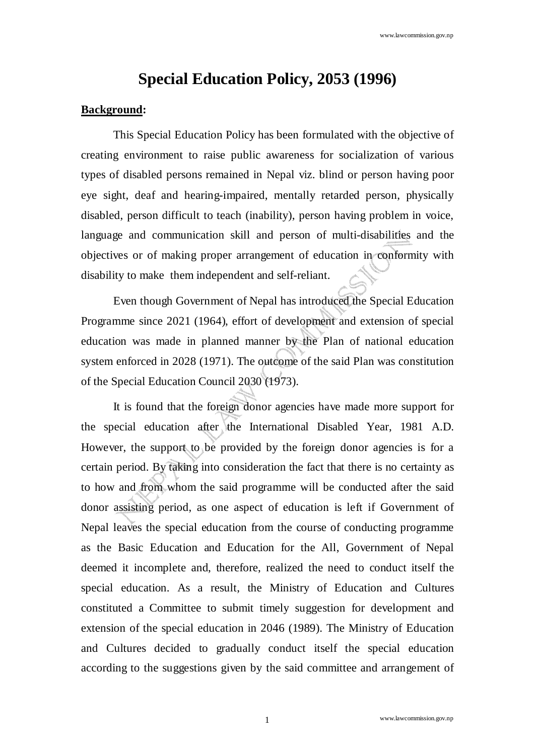# **Special Education Policy, 2053 (1996)**

#### **Background:**

 This Special Education Policy has been formulated with the objective of creating environment to raise public awareness for socialization of various types of disabled persons remained in Nepal viz. blind or person having poor eye sight, deaf and hearing-impaired, mentally retarded person, physically disabled, person difficult to teach (inability), person having problem in voice, language and communication skill and person of multi-disabilities and the objectives or of making proper arrangement of education in conformity with disability to make them independent and self-reliant.

 Even though Government of Nepal has introduced the Special Education Programme since 2021 (1964), effort of development and extension of special education was made in planned manner by the Plan of national education system enforced in 2028 (1971). The outcome of the said Plan was constitution of the Special Education Council 2030 (1973).

 It is found that the foreign donor agencies have made more support for the special education after the International Disabled Year, 1981 A.D. However, the support to be provided by the foreign donor agencies is for a certain period. By taking into consideration the fact that there is no certainty as to how and from whom the said programme will be conducted after the said donor assisting period, as one aspect of education is left if Government of Nepal leaves the special education from the course of conducting programme as the Basic Education and Education for the All, Government of Nepal deemed it incomplete and, therefore, realized the need to conduct itself the special education. As a result, the Ministry of Education and Cultures constituted a Committee to submit timely suggestion for development and extension of the special education in 2046 (1989). The Ministry of Education and Cultures decided to gradually conduct itself the special education according to the suggestions given by the said committee and arrangement of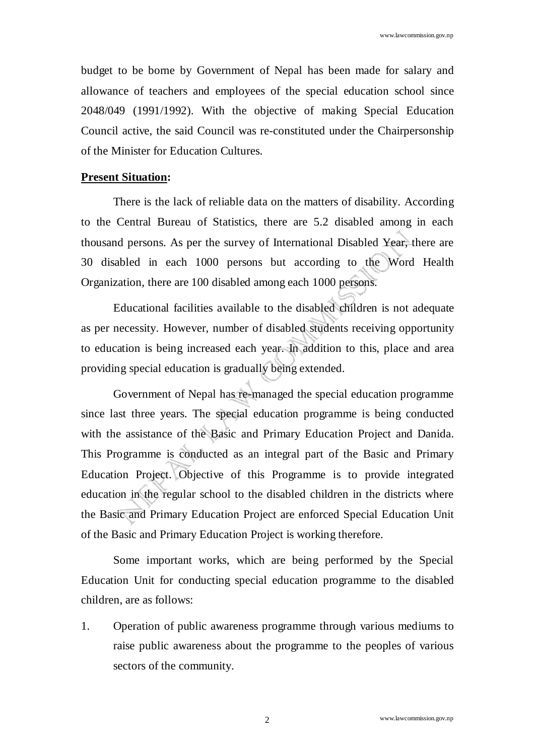budget to be borne by Government of Nepal has been made for salary and allowance of teachers and employees of the special education school since 2048/049 (1991/1992). With the objective of making Special Education Council active, the said Council was re-constituted under the Chairpersonship of the Minister for Education Cultures.

#### **Present Situation:**

 There is the lack of reliable data on the matters of disability. According to the Central Bureau of Statistics, there are 5.2 disabled among in each thousand persons. As per the survey of International Disabled Year, there are 30 disabled in each 1000 persons but according to the Word Health Organization, there are 100 disabled among each 1000 persons.

 Educational facilities available to the disabled children is not adequate as per necessity. However, number of disabled students receiving opportunity to education is being increased each year. In addition to this, place and area providing special education is gradually being extended.

 Government of Nepal has re-managed the special education programme since last three years. The special education programme is being conducted with the assistance of the Basic and Primary Education Project and Danida. This Programme is conducted as an integral part of the Basic and Primary Education Project. Objective of this Programme is to provide integrated education in the regular school to the disabled children in the districts where the Basic and Primary Education Project are enforced Special Education Unit of the Basic and Primary Education Project is working therefore.

 Some important works, which are being performed by the Special Education Unit for conducting special education programme to the disabled children, are as follows:

1. Operation of public awareness programme through various mediums to raise public awareness about the programme to the peoples of various sectors of the community.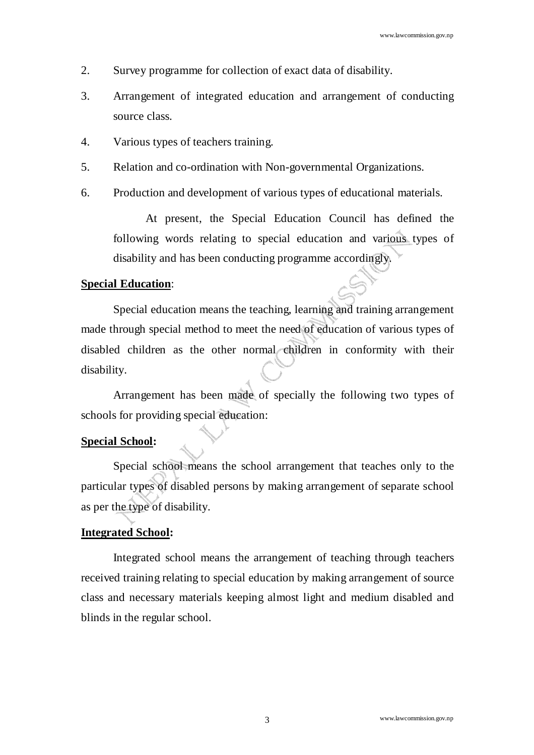- 2. Survey programme for collection of exact data of disability.
- 3. Arrangement of integrated education and arrangement of conducting source class.
- 4. Various types of teachers training.
- 5. Relation and co-ordination with Non-governmental Organizations.
- 6. Production and development of various types of educational materials.

 At present, the Special Education Council has defined the following words relating to special education and various types of disability and has been conducting programme accordingly.

#### **Special Education**:

 Special education means the teaching, learning and training arrangement made through special method to meet the need of education of various types of disabled children as the other normal children in conformity with their disability.

 Arrangement has been made of specially the following two types of schools for providing special education:

#### **Special School:**

 Special school means the school arrangement that teaches only to the particular types of disabled persons by making arrangement of separate school as per the type of disability.

#### **Integrated School:**

 Integrated school means the arrangement of teaching through teachers received training relating to special education by making arrangement of source class and necessary materials keeping almost light and medium disabled and blinds in the regular school.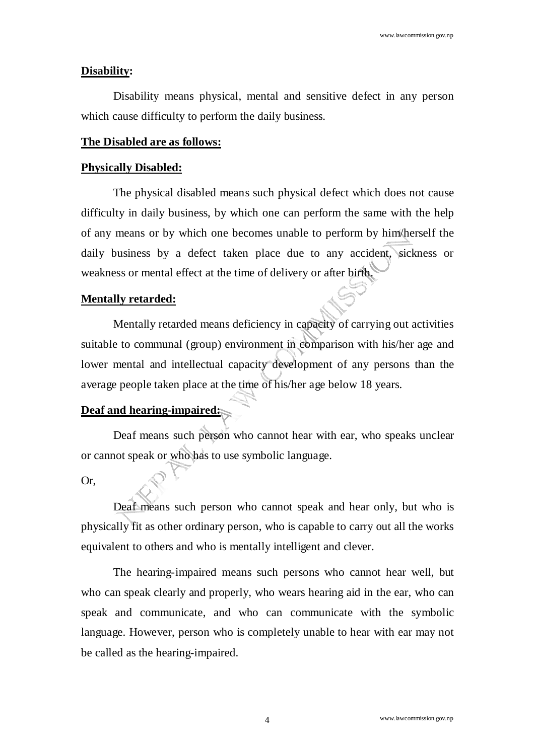#### **Disability:**

 Disability means physical, mental and sensitive defect in any person which cause difficulty to perform the daily business.

#### **The Disabled are as follows:**

#### **Physically Disabled:**

 The physical disabled means such physical defect which does not cause difficulty in daily business, by which one can perform the same with the help of any means or by which one becomes unable to perform by him/herself the daily business by a defect taken place due to any accident, sickness or weakness or mental effect at the time of delivery or after birth.

#### **Mentally retarded:**

 Mentally retarded means deficiency in capacity of carrying out activities suitable to communal (group) environment in comparison with his/her age and lower mental and intellectual capacity development of any persons than the average people taken place at the time of his/her age below 18 years.

#### **Deaf and hearing-impaired:**

 Deaf means such person who cannot hear with ear, who speaks unclear or cannot speak or who has to use symbolic language.

#### Or,

 Deaf means such person who cannot speak and hear only, but who is physically fit as other ordinary person, who is capable to carry out all the works equivalent to others and who is mentally intelligent and clever.

 The hearing-impaired means such persons who cannot hear well, but who can speak clearly and properly, who wears hearing aid in the ear, who can speak and communicate, and who can communicate with the symbolic language. However, person who is completely unable to hear with ear may not be called as the hearing-impaired.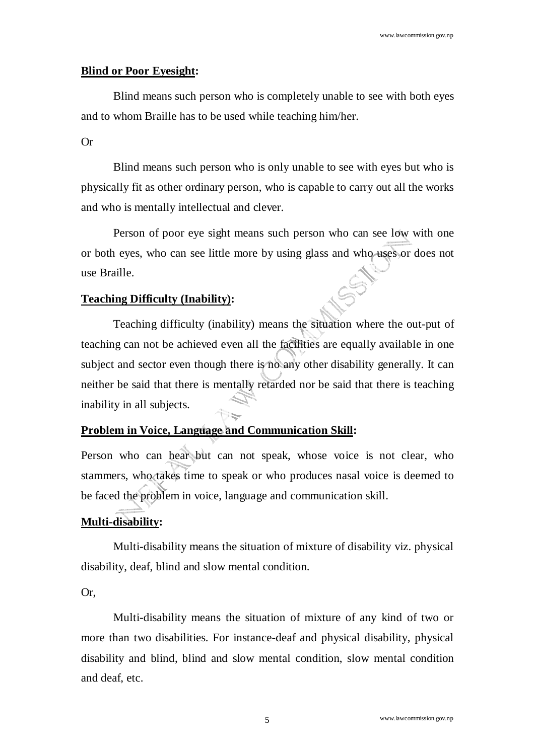## **Blind or Poor Eyesight:**

 Blind means such person who is completely unable to see with both eyes and to whom Braille has to be used while teaching him/her.

#### Or

 Blind means such person who is only unable to see with eyes but who is physically fit as other ordinary person, who is capable to carry out all the works and who is mentally intellectual and clever.

 Person of poor eye sight means such person who can see low with one or both eyes, who can see little more by using glass and who uses or does not use Braille.

## **Teaching Difficulty (Inability):**

 Teaching difficulty (inability) means the situation where the out-put of teaching can not be achieved even all the facilities are equally available in one subject and sector even though there is no any other disability generally. It can neither be said that there is mentally retarded nor be said that there is teaching inability in all subjects.

## **Problem in Voice, Language and Communication Skill:**

Person who can hear but can not speak, whose voice is not clear, who stammers, who takes time to speak or who produces nasal voice is deemed to be faced the problem in voice, language and communication skill.

## **Multi-disability:**

 Multi-disability means the situation of mixture of disability viz. physical disability, deaf, blind and slow mental condition.

Or,

 Multi-disability means the situation of mixture of any kind of two or more than two disabilities. For instance-deaf and physical disability, physical disability and blind, blind and slow mental condition, slow mental condition and deaf, etc.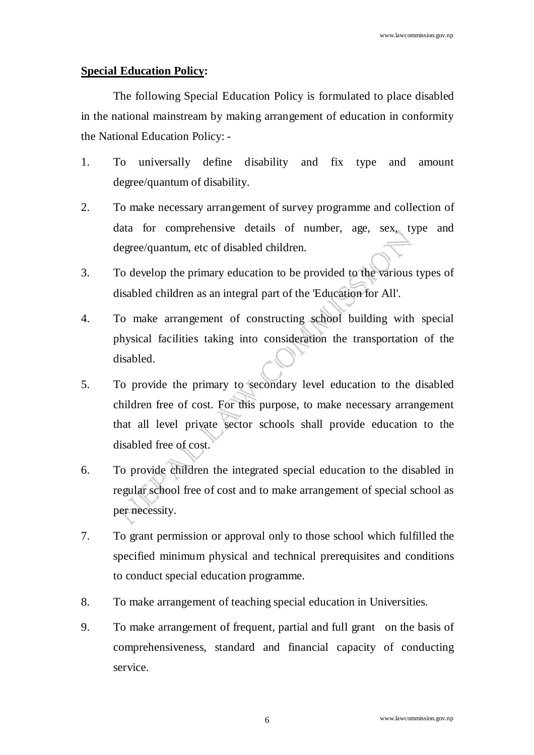### **Special Education Policy:**

 The following Special Education Policy is formulated to place disabled in the national mainstream by making arrangement of education in conformity the National Education Policy: -

- 1. To universally define disability and fix type and amount degree/quantum of disability.
- 2. To make necessary arrangement of survey programme and collection of data for comprehensive details of number, age, sex, type and degree/quantum, etc of disabled children.
- 3. To develop the primary education to be provided to the various types of disabled children as an integral part of the 'Education for All'.
- 4. To make arrangement of constructing school building with special physical facilities taking into consideration the transportation of the disabled.
- 5. To provide the primary to secondary level education to the disabled children free of cost. For this purpose, to make necessary arrangement that all level private sector schools shall provide education to the disabled free of cost.
- 6. To provide children the integrated special education to the disabled in regular school free of cost and to make arrangement of special school as per necessity.
- 7. To grant permission or approval only to those school which fulfilled the specified minimum physical and technical prerequisites and conditions to conduct special education programme.
- 8. To make arrangement of teaching special education in Universities.
- 9. To make arrangement of frequent, partial and full grant on the basis of comprehensiveness, standard and financial capacity of conducting service.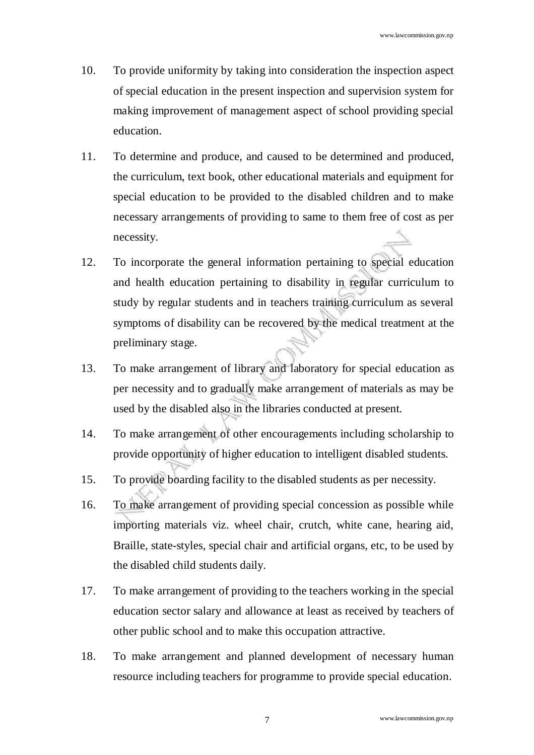- 10. To provide uniformity by taking into consideration the inspection aspect of special education in the present inspection and supervision system for making improvement of management aspect of school providing special education.
- 11. To determine and produce, and caused to be determined and produced, the curriculum, text book, other educational materials and equipment for special education to be provided to the disabled children and to make necessary arrangements of providing to same to them free of cost as per necessity.
- 12. To incorporate the general information pertaining to special education and health education pertaining to disability in regular curriculum to study by regular students and in teachers training curriculum as several symptoms of disability can be recovered by the medical treatment at the preliminary stage.
- 13. To make arrangement of library and laboratory for special education as per necessity and to gradually make arrangement of materials as may be used by the disabled also in the libraries conducted at present.
- 14. To make arrangement of other encouragements including scholarship to provide opportunity of higher education to intelligent disabled students.
- 15. To provide boarding facility to the disabled students as per necessity.
- 16. To make arrangement of providing special concession as possible while importing materials viz. wheel chair, crutch, white cane, hearing aid, Braille, state-styles, special chair and artificial organs, etc, to be used by the disabled child students daily.
- 17. To make arrangement of providing to the teachers working in the special education sector salary and allowance at least as received by teachers of other public school and to make this occupation attractive.
- 18. To make arrangement and planned development of necessary human resource including teachers for programme to provide special education.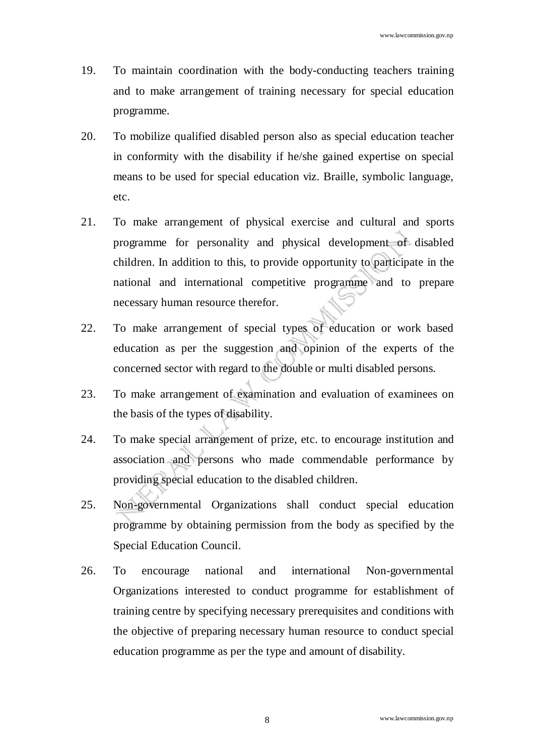- 19. To maintain coordination with the body-conducting teachers training and to make arrangement of training necessary for special education programme.
- 20. To mobilize qualified disabled person also as special education teacher in conformity with the disability if he/she gained expertise on special means to be used for special education viz. Braille, symbolic language, etc.
- 21. To make arrangement of physical exercise and cultural and sports programme for personality and physical development of disabled children. In addition to this, to provide opportunity to participate in the national and international competitive programme and to prepare necessary human resource therefor.
- 22. To make arrangement of special types of education or work based education as per the suggestion and opinion of the experts of the concerned sector with regard to the double or multi disabled persons.
- 23. To make arrangement of examination and evaluation of examinees on the basis of the types of disability.
- 24. To make special arrangement of prize, etc. to encourage institution and association and persons who made commendable performance by providing special education to the disabled children.
- 25. Non-governmental Organizations shall conduct special education programme by obtaining permission from the body as specified by the Special Education Council.
- 26. To encourage national and international Non-governmental Organizations interested to conduct programme for establishment of training centre by specifying necessary prerequisites and conditions with the objective of preparing necessary human resource to conduct special education programme as per the type and amount of disability.